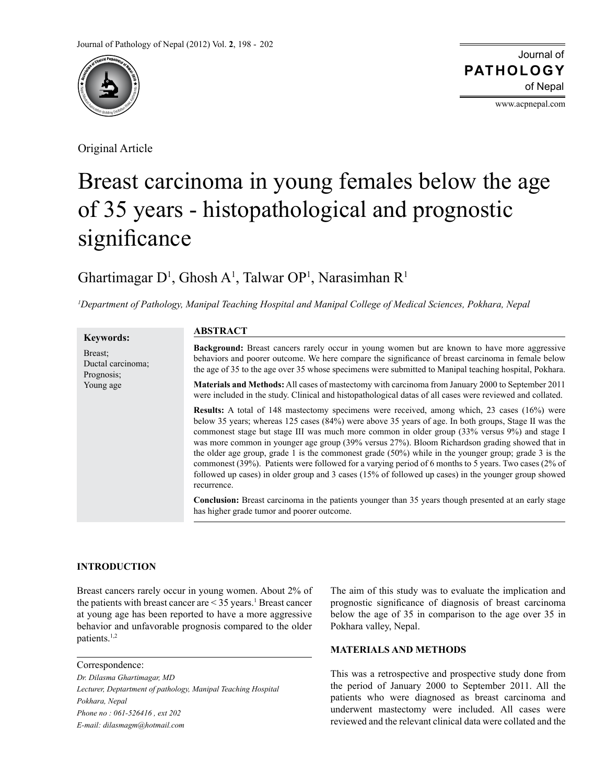

Original Article

Journal of of Nepal **PATHOLOGY**

www.acpnepal.com

# Breast carcinoma in young females below the age of 35 years - histopathological and prognostic significance

# Ghartimagar  $D^1$ , Ghosh A<sup>1</sup>, Talwar OP<sup>1</sup>, Narasimhan R<sup>1</sup>

*1 Department of Pathology, Manipal Teaching Hospital and Manipal College of Medical Sciences, Pokhara, Nepal*

|                                                                | <b>ABSTRACT</b>                                                                                                                                                                                                                                                                                                                                                                                                                                                                                                                                                                                                                                                                                                                                          |
|----------------------------------------------------------------|----------------------------------------------------------------------------------------------------------------------------------------------------------------------------------------------------------------------------------------------------------------------------------------------------------------------------------------------------------------------------------------------------------------------------------------------------------------------------------------------------------------------------------------------------------------------------------------------------------------------------------------------------------------------------------------------------------------------------------------------------------|
| <b>Keywords:</b><br>Breast:<br>Ductal carcinoma;<br>Prognosis; | <b>Background:</b> Breast cancers rarely occur in young women but are known to have more aggressive<br>behaviors and poorer outcome. We here compare the significance of breast carcinoma in female below<br>the age of 35 to the age over 35 whose specimens were submitted to Manipal teaching hospital, Pokhara.                                                                                                                                                                                                                                                                                                                                                                                                                                      |
| Young age                                                      | <b>Materials and Methods:</b> All cases of mastectomy with carcinoma from January 2000 to September 2011<br>were included in the study. Clinical and histopathological datas of all cases were reviewed and collated.                                                                                                                                                                                                                                                                                                                                                                                                                                                                                                                                    |
|                                                                | <b>Results:</b> A total of 148 mastectomy specimens were received, among which, 23 cases (16%) were<br>below 35 years; whereas 125 cases (84%) were above 35 years of age. In both groups, Stage II was the<br>commonest stage but stage III was much more common in older group (33% versus 9%) and stage I<br>was more common in younger age group (39% versus 27%). Bloom Richardson grading showed that in<br>the older age group, grade 1 is the commonest grade $(50%)$ while in the younger group; grade 3 is the<br>commonest (39%). Patients were followed for a varying period of 6 months to 5 years. Two cases (2% of<br>followed up cases) in older group and 3 cases (15% of followed up cases) in the younger group showed<br>recurrence. |
|                                                                | <b>Conclusion:</b> Breast carcinoma in the patients younger than 35 years though presented at an early stage<br>has higher grade tumor and poorer outcome.                                                                                                                                                                                                                                                                                                                                                                                                                                                                                                                                                                                               |

# **INTRODUCTION**

Breast cancers rarely occur in young women. About 2% of the patients with breast cancer are  $\leq$  35 years.<sup>1</sup> Breast cancer at young age has been reported to have a more aggressive behavior and unfavorable prognosis compared to the older patients.1,2

Correspondence: *Dr. Dilasma Ghartimagar, MD Lecturer, Deptartment of pathology, Manipal Teaching Hospital Pokhara, Nepal Phone no : 061-526416 , ext 202 E-mail: dilasmagm@hotmail.com*

The aim of this study was to evaluate the implication and prognostic significance of diagnosis of breast carcinoma below the age of 35 in comparison to the age over 35 in Pokhara valley, Nepal.

# **MATERIALS AND METHODS**

This was a retrospective and prospective study done from the period of January 2000 to September 2011. All the patients who were diagnosed as breast carcinoma and underwent mastectomy were included. All cases were reviewed and the relevant clinical data were collated and the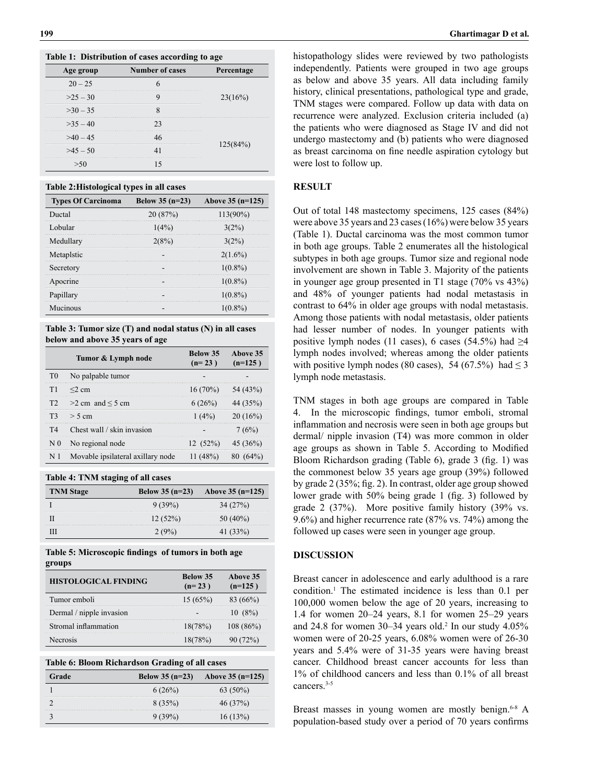|  | Table 1: Distribution of cases according to age |  |  |  |
|--|-------------------------------------------------|--|--|--|
|--|-------------------------------------------------|--|--|--|

| Age group | <b>Number of cases</b> | Percentage |
|-----------|------------------------|------------|
| $20 - 25$ |                        |            |
| $>25-30$  |                        | 23(16%)    |
| $>30-35$  |                        |            |
| $>35-40$  |                        |            |
| $>40-45$  |                        |            |
| $>45-50$  |                        | 125(84%)   |
|           |                        |            |

#### **Table 2:Histological types in all cases**

| <b>Types Of Carcinoma</b> | Below 35 $(n=23)$ | Above 35 (n=125) |
|---------------------------|-------------------|------------------|
| Ductal                    | 20(87%)           | $113(90\%)$      |
| Lobular                   | $1(4\%)$          | $3(2\%)$         |
| Medullary                 | 2(8%)             | $3(2\%)$         |
| Metaplstic                |                   | $2(1.6\%)$       |
| Secretory                 |                   | $1(0.8\%)$       |
| Apocrine                  |                   | $1(0.8\%)$       |
| Papillary                 |                   | $1(0.8\%)$       |
| Mucinous                  |                   | $1(0.8\%)$       |

**Table 3: Tumor size (T) and nodal status (N) in all cases below and above 35 years of age**

|     | Tumor & Lymph node                | Below 35<br>$(n=23)$  | Above 35<br>$(n=125)$ |
|-----|-----------------------------------|-----------------------|-----------------------|
| T0  | No palpable tumor                 |                       |                       |
| T1  | $\leq$ 2 cm                       | $16(70\%)$ 54 (43%)   |                       |
|     | $T2 > 2$ cm and $\leq 5$ cm       | 6(26%)                |                       |
|     | $T3 > 5$ cm                       | 1(4%)                 | $20(16\%)$            |
| T4  | Chest wall / skin invasion        |                       | 7(6%)                 |
| N 0 | No regional node                  | $12(52\%)$ $45(36\%)$ |                       |
|     | Movable ipsilateral axillary node | $11(48\%)$            |                       |

**Table 4: TNM staging of all cases**

| <b>TNM</b> Stage | Below $35(n=23)$ | Above $35$ (n=125) |
|------------------|------------------|--------------------|
|                  | 9 (39%)          | 34 (27%)           |
|                  | 12(52%)          | 50 (40%)           |
|                  | $2.19\%$         | 1(33%)             |

**Table 5: Microscopic findings of tumors in both age groups**

| <b>HISTOLOGICAL FINDING</b> | Below 35<br>$(n=23)$ | Above 35<br>$(n=125)$ |
|-----------------------------|----------------------|-----------------------|
| Tumor emboli                | 15(65%)              | 83 (66%)              |
| Dermal / nipple invasion    |                      | $10(8\%)$             |
| Stromal inflammation        | 18(78%)              | $108(86\%)$           |
| <b>Necrosis</b>             | 18(78%)              | $(72\%)$              |

|  |  | Table 6: Bloom Richardson Grading of all cases |  |  |
|--|--|------------------------------------------------|--|--|
|--|--|------------------------------------------------|--|--|

| Grade | Below $35$ (n=23) | Above $35$ (n=125) |
|-------|-------------------|--------------------|
|       | 6(26%)            | 63 (50%)           |
|       | $8(35\%)$         | 46 (37%)           |
|       |                   | $6(13\%)$          |

histopathology slides were reviewed by two pathologists independently. Patients were grouped in two age groups as below and above 35 years. All data including family history, clinical presentations, pathological type and grade, TNM stages were compared. Follow up data with data on recurrence were analyzed. Exclusion criteria included (a) the patients who were diagnosed as Stage IV and did not undergo mastectomy and (b) patients who were diagnosed as breast carcinoma on fine needle aspiration cytology but were lost to follow up.

### **RESULT**

Out of total 148 mastectomy specimens, 125 cases (84%) were above 35 years and 23 cases (16%) were below 35 years (Table 1). Ductal carcinoma was the most common tumor in both age groups. Table 2 enumerates all the histological subtypes in both age groups. Tumor size and regional node involvement are shown in Table 3. Majority of the patients in younger age group presented in T1 stage (70% vs 43%) and 48% of younger patients had nodal metastasis in contrast to 64% in older age groups with nodal metastasis. Among those patients with nodal metastasis, older patients had lesser number of nodes. In younger patients with positive lymph nodes (11 cases), 6 cases (54.5%) had  $\geq$ 4 lymph nodes involved; whereas among the older patients with positive lymph nodes (80 cases), 54 (67.5%) had  $\leq$  3 lymph node metastasis.

TNM stages in both age groups are compared in Table 4. In the microscopic findings, tumor emboli, stromal inflammation and necrosis were seen in both age groups but dermal/ nipple invasion (T4) was more common in older age groups as shown in Table 5. According to Modified Bloom Richardson grading (Table 6), grade 3 (fig. 1) was the commonest below 35 years age group (39%) followed by grade 2 (35%; fig. 2). In contrast, older age group showed lower grade with 50% being grade 1 (fig. 3) followed by grade 2 (37%). More positive family history (39% vs. 9.6%) and higher recurrence rate (87% vs. 74%) among the followed up cases were seen in younger age group.

# **DISCUSSION**

Breast cancer in adolescence and early adulthood is a rare condition.1 The estimated incidence is less than 0.1 per 100,000 women below the age of 20 years, increasing to 1.4 for women 20–24 years, 8.1 for women 25–29 years and 24.8 for women  $30-34$  years old.<sup>2</sup> In our study  $4.05\%$ women were of 20-25 years, 6.08% women were of 26-30 years and 5.4% were of 31-35 years were having breast cancer. Childhood breast cancer accounts for less than 1% of childhood cancers and less than 0.1% of all breast cancers.<sup>3-5</sup>

Breast masses in young women are mostly benign.<sup>6-8</sup> A population-based study over a period of 70 years confirms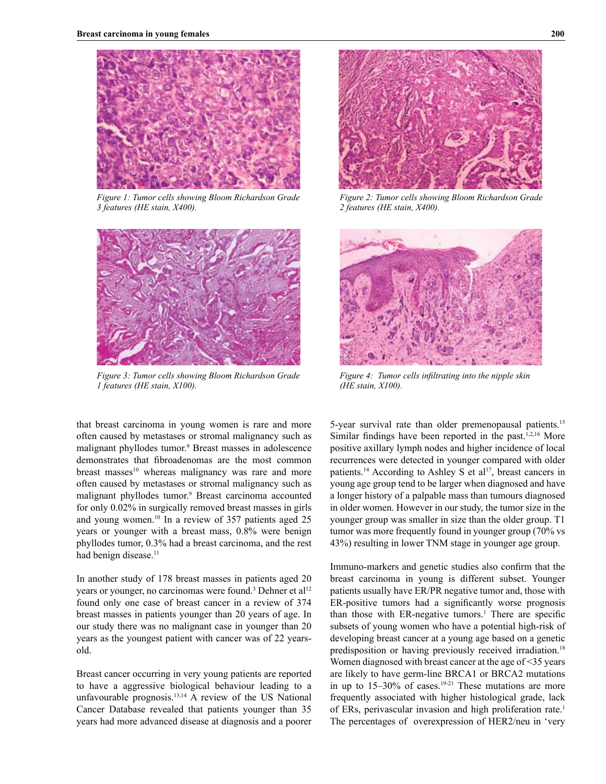

*Figure 1: Tumor cells showing Bloom Richardson Grade 3 features (HE stain, X400).*



*Figure 3: Tumor cells showing Bloom Richardson Grade 1 features (HE stain, X100).*



*Figure 2: Tumor cells showing Bloom Richardson Grade 2 features (HE stain, X400).*



*Figure 4: Tumor cells infiltrating into the nipple skin (HE stain, X100).*

that breast carcinoma in young women is rare and more often caused by metastases or stromal malignancy such as malignant phyllodes tumor.<sup>9</sup> Breast masses in adolescence demonstrates that fibroadenomas are the most common breast masses<sup>10</sup> whereas malignancy was rare and more often caused by metastases or stromal malignancy such as malignant phyllodes tumor.<sup>9</sup> Breast carcinoma accounted for only 0.02% in surgically removed breast masses in girls and young women.10 In a review of 357 patients aged 25 years or younger with a breast mass, 0.8% were benign phyllodes tumor, 0.3% had a breast carcinoma, and the rest had benign disease.<sup>11</sup>

In another study of 178 breast masses in patients aged 20 years or younger, no carcinomas were found.<sup>3</sup> Dehner et al<sup>12</sup> found only one case of breast cancer in a review of 374 breast masses in patients younger than 20 years of age. In our study there was no malignant case in younger than 20 years as the youngest patient with cancer was of 22 yearsold.

Breast cancer occurring in very young patients are reported to have a aggressive biological behaviour leading to a unfavourable prognosis.13,14 A review of the US National Cancer Database revealed that patients younger than 35 years had more advanced disease at diagnosis and a poorer

5-year survival rate than older premenopausal patients.15 Similar findings have been reported in the past.<sup>1,2,16</sup> More positive axillary lymph nodes and higher incidence of local recurrences were detected in younger compared with older patients.<sup>14</sup> According to Ashley S et al<sup>17</sup>, breast cancers in young age group tend to be larger when diagnosed and have a longer history of a palpable mass than tumours diagnosed in older women. However in our study, the tumor size in the younger group was smaller in size than the older group. T1 tumor was more frequently found in younger group (70% vs 43%) resulting in lower TNM stage in younger age group.

Immuno-markers and genetic studies also confirm that the breast carcinoma in young is different subset. Younger patients usually have ER/PR negative tumor and, those with ER-positive tumors had a significantly worse prognosis than those with  $ER$ -negative tumors.<sup>1</sup> There are specific subsets of young women who have a potential high-risk of developing breast cancer at a young age based on a genetic predisposition or having previously received irradiation.18 Women diagnosed with breast cancer at the age of <35 years are likely to have germ-line BRCA1 or BRCA2 mutations in up to  $15-30\%$  of cases.<sup>19-21</sup> These mutations are more frequently associated with higher histological grade, lack of ERs, perivascular invasion and high proliferation rate.<sup>1</sup> The percentages of overexpression of HER2/neu in 'very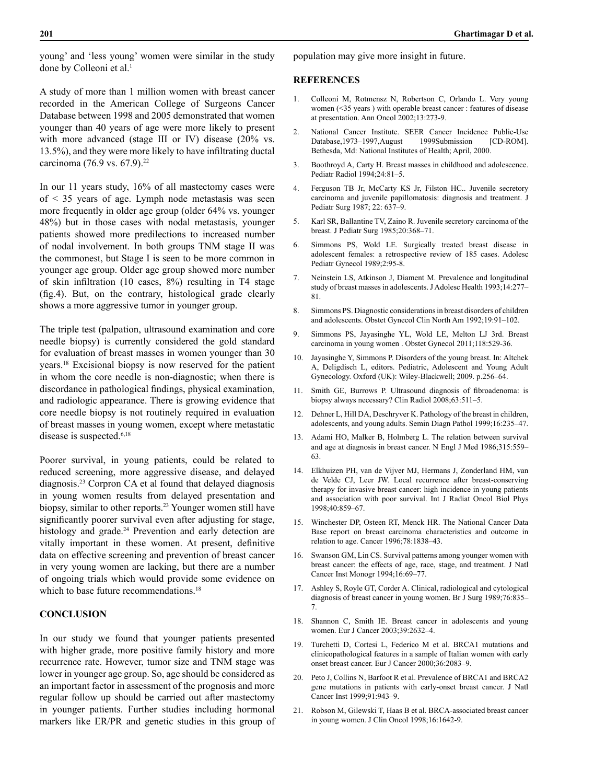young' and 'less young' women were similar in the study done by Colleoni et al.<sup>1</sup>

A study of more than 1 million women with breast cancer recorded in the American College of Surgeons Cancer Database between 1998 and 2005 demonstrated that women younger than 40 years of age were more likely to present with more advanced (stage III or IV) disease (20% vs. 13.5%), and they were more likely to have infiltrating ductal carcinoma (76.9 vs. 67.9).<sup>22</sup>

In our 11 years study, 16% of all mastectomy cases were of < 35 years of age. Lymph node metastasis was seen more frequently in older age group (older 64% vs. younger 48%) but in those cases with nodal metastasis, younger patients showed more predilections to increased number of nodal involvement. In both groups TNM stage II was the commonest, but Stage I is seen to be more common in younger age group. Older age group showed more number of skin infiltration (10 cases, 8%) resulting in T4 stage (fig.4). But, on the contrary, histological grade clearly shows a more aggressive tumor in younger group.

The triple test (palpation, ultrasound examination and core needle biopsy) is currently considered the gold standard for evaluation of breast masses in women younger than 30 years.18 Excisional biopsy is now reserved for the patient in whom the core needle is non-diagnostic; when there is discordance in pathological findings, physical examination, and radiologic appearance. There is growing evidence that core needle biopsy is not routinely required in evaluation of breast masses in young women, except where metastatic disease is suspected.<sup>6,18</sup>

Poorer survival, in young patients, could be related to reduced screening, more aggressive disease, and delayed diagnosis.23 Corpron CA et al found that delayed diagnosis in young women results from delayed presentation and biopsy, similar to other reports.<sup>23</sup> Younger women still have significantly poorer survival even after adjusting for stage, histology and grade.<sup>24</sup> Prevention and early detection are vitally important in these women. At present, definitive data on effective screening and prevention of breast cancer in very young women are lacking, but there are a number of ongoing trials which would provide some evidence on which to base future recommendations.<sup>18</sup>

# **CONCLUSION**

In our study we found that younger patients presented with higher grade, more positive family history and more recurrence rate. However, tumor size and TNM stage was lower in younger age group. So, age should be considered as an important factor in assessment of the prognosis and more regular follow up should be carried out after mastectomy in younger patients. Further studies including hormonal markers like ER/PR and genetic studies in this group of population may give more insight in future.

#### **REFERENCES**

- 1. Colleoni M, Rotmensz N, Robertson C, Orlando L. Very young women (<35 years ) with operable breast cancer : features of disease at presentation. Ann Oncol 2002;13:273-9.
- 2. National Cancer Institute. SEER Cancer Incidence Public-Use Database,1973–1997,August 1999Submission [CD-ROM]. Bethesda, Md: National Institutes of Health; April, 2000.
- 3. Boothroyd A, Carty H. Breast masses in childhood and adolescence. Pediatr Radiol 1994;24:81–5.
- 4. Ferguson TB Jr, McCarty KS Jr, Filston HC.. Juvenile secretory carcinoma and juvenile papillomatosis: diagnosis and treatment. J Pediatr Surg 1987; 22: 637–9.
- 5. Karl SR, Ballantine TV, Zaino R. Juvenile secretory carcinoma of the breast. J Pediatr Surg 1985;20:368–71.
- 6. Simmons PS, Wold LE. Surgically treated breast disease in adolescent females: a retrospective review of 185 cases. Adolesc Pediatr Gynecol 1989;2:95-8.
- 7. Neinstein LS, Atkinson J, Diament M. Prevalence and longitudinal study of breast masses in adolescents. J Adolesc Health 1993;14:277– 81.
- 8. Simmons PS. Diagnostic considerations in breast disorders of children and adolescents. Obstet Gynecol Clin North Am 1992;19:91–102.
- 9. Simmons PS, Jayasinghe YL, Wold LE, Melton LJ 3rd. Breast carcinoma in young women . Obstet Gynecol 2011;118:529-36.
- 10. Jayasinghe Y, Simmons P. Disorders of the young breast. In: Altchek A, Deligdisch L, editors. Pediatric, Adolescent and Young Adult Gynecology. Oxford (UK): Wiley-Blackwell; 2009. p.256–64.
- 11. Smith GE, Burrows P. Ultrasound diagnosis of fibroadenoma: is biopsy always necessary? Clin Radiol 2008;63:511–5.
- 12. Dehner L, Hill DA, Deschryver K. Pathology of the breast in children, adolescents, and young adults. Semin Diagn Pathol 1999;16:235–47.
- 13. Adami HO, Malker B, Holmberg L. The relation between survival and age at diagnosis in breast cancer. N Engl J Med 1986;315:559– 63.
- 14. Elkhuizen PH, van de Vijver MJ, Hermans J, Zonderland HM, van de Velde CJ, Leer JW. Local recurrence after breast-conserving therapy for invasive breast cancer: high incidence in young patients and association with poor survival. Int J Radiat Oncol Biol Phys 1998;40:859–67.
- 15. Winchester DP, Osteen RT, Menck HR. The National Cancer Data Base report on breast carcinoma characteristics and outcome in relation to age. Cancer 1996;78:1838–43.
- 16. Swanson GM, Lin CS. Survival patterns among younger women with breast cancer: the effects of age, race, stage, and treatment. J Natl Cancer Inst Monogr 1994;16:69–77.
- 17. Ashley S, Royle GT, Corder A. Clinical, radiological and cytological diagnosis of breast cancer in young women. Br J Surg 1989;76:835– 7.
- 18. Shannon C, Smith IE. Breast cancer in adolescents and young women. Eur J Cancer 2003;39:2632–4.
- 19. Turchetti D, Cortesi L, Federico M et al. BRCA1 mutations and clinicopathological features in a sample of Italian women with early onset breast cancer. Eur J Cancer 2000;36:2083–9.
- 20. Peto J, Collins N, Barfoot R et al. Prevalence of BRCA1 and BRCA2 gene mutations in patients with early-onset breast cancer. J Natl Cancer Inst 1999;91:943–9.
- 21. Robson M, Gilewski T, Haas B et al. BRCA-associated breast cancer in young women. J Clin Oncol 1998;16:1642-9.